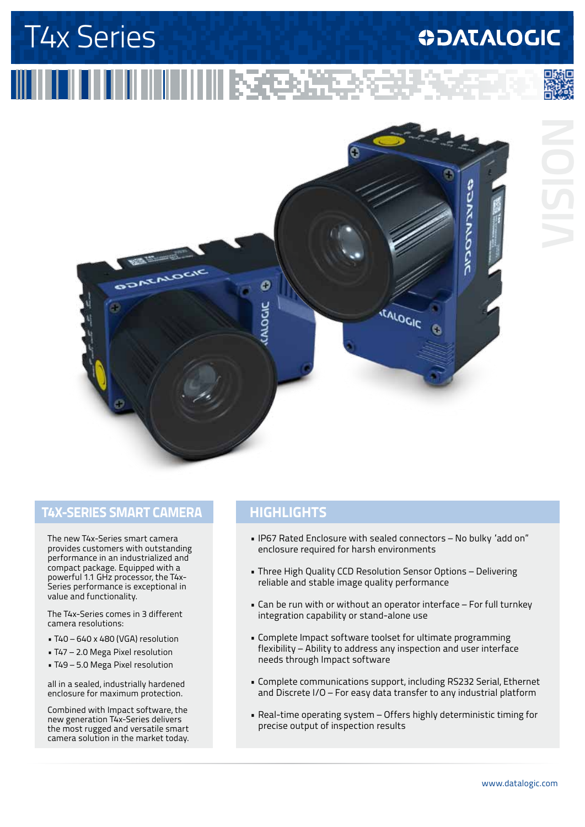# T4x Series

# **ODATALOGIC**

# 







### **T4x-Series Smart camera**

The new T4x-Series smart camera provides customers with outstanding performance in an industrialized and compact package. Equipped with a powerful 1.1 GHz processor, the T4x-Series performance is exceptional in value and functionality.

The T4x-Series comes in 3 different camera resolutions:

- T40 640 x 480 (VGA) resolution
- T47 2.0 Mega Pixel resolution
- T49 5.0 Mega Pixel resolution

all in a sealed, industrially hardened enclosure for maximum protection.

Combined with Impact software, the new generation T4x-Series delivers the most rugged and versatile smart camera solution in the market today.

### **highlightS**

- IP67 Rated Enclosure with sealed connectors No bulky "add on" enclosure required for harsh environments
- Three High Quality CCD Resolution Sensor Options Delivering reliable and stable image quality performance
- Can be run with or without an operator interface For full turnkey integration capability or stand-alone use
- Complete Impact software toolset for ultimate programming flexibility – Ability to address any inspection and user interface needs through Impact software
- Complete communications support, including RS232 Serial, Ethernet and Discrete I/O – For easy data transfer to any industrial platform
- Real-time operating system Offers highly deterministic timing for precise output of inspection results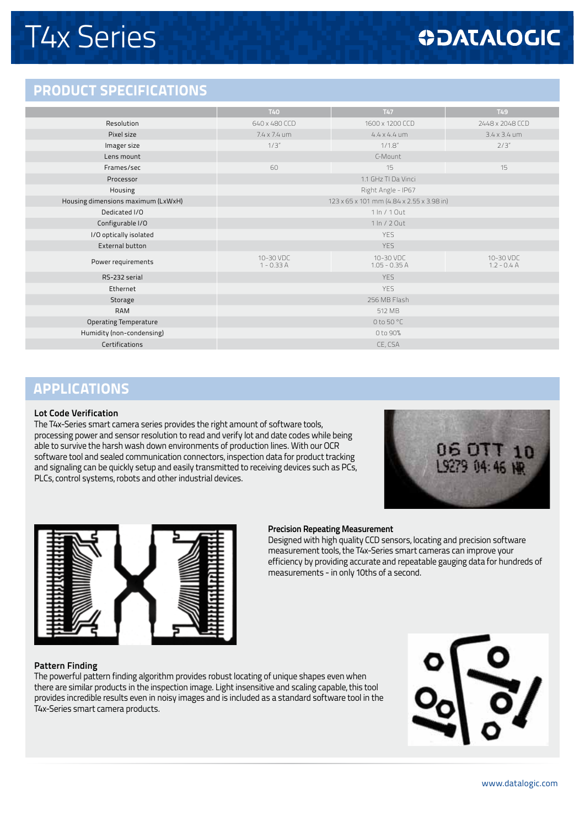# **ODATALOGIC**

### **PRODUCT SPECIFICATIONS**

|                                    | <b>T40</b>                                | T47                          | T49                        |  |
|------------------------------------|-------------------------------------------|------------------------------|----------------------------|--|
| Resolution                         | 640 x 480 CCD                             | 1600 x 1200 CCD              | 2448 x 2048 CCD            |  |
| Pixel size                         | $7.4 \times 7.4$ um                       | $4.4 \times 4.4$ um          | $3.4 \times 3.4$ um        |  |
| Imager size                        | 1/3''                                     | $1/1.8$ "                    | 2/3"                       |  |
| Lens mount                         | C-Mount                                   |                              |                            |  |
| Frames/sec                         | 60                                        | 15                           | 15                         |  |
| Processor                          | 1.1 GHz TI Da Vinci                       |                              |                            |  |
| Housing                            | Right Angle - IP67                        |                              |                            |  |
| Housing dimensions maximum (LxWxH) | 123 x 65 x 101 mm (4.84 x 2.55 x 3.98 in) |                              |                            |  |
| Dedicated I/O                      | 1 In / 1 Out                              |                              |                            |  |
| Configurable I/O                   | 1 In / 2 Out                              |                              |                            |  |
| I/O optically isolated             | <b>YES</b>                                |                              |                            |  |
| External button                    | <b>YES</b>                                |                              |                            |  |
| Power requirements                 | 10-30 VDC<br>$1 - 0.33A$                  | 10-30 VDC<br>$1.05 - 0.35 A$ | 10-30 VDC<br>$1.2 - 0.4$ A |  |
| RS-232 serial                      | <b>YES</b>                                |                              |                            |  |
| Ethernet                           | <b>YES</b>                                |                              |                            |  |
| Storage                            | 256 MB Flash                              |                              |                            |  |
| <b>RAM</b>                         | 512 MB                                    |                              |                            |  |
| <b>Operating Temperature</b>       | 0 to 50 °C                                |                              |                            |  |
| Humidity (non-condensing)          | 0 to 90%                                  |                              |                            |  |
| Certifications                     | CE, CSA                                   |                              |                            |  |
|                                    |                                           |                              |                            |  |

## **APPLICATIONS**

#### **Lot Code Verification**

The T4x-Series smart camera series provides the right amount of software tools, processing power and sensor resolution to read and verify lot and date codes while being able to survive the harsh wash down environments of production lines. With our OCR software tool and sealed communication connectors, inspection data for product tracking and signaling can be quickly setup and easily transmitted to receiving devices such as PCs, PLCs, control systems, robots and other industrial devices.





#### **Precision Repeating Measurement**

Designed with high quality CCD sensors, locating and precision software measurement tools, the T4x-Series smart cameras can improve your efficiency by providing accurate and repeatable gauging data for hundreds of measurements - in only 10ths of a second.

#### **Pattern Finding**

The powerful pattern finding algorithm provides robust locating of unique shapes even when there are similar products in the inspection image. Light insensitive and scaling capable, this tool provides incredible results even in noisy images and is included as a standard software tool in the T4x-Series smart camera products.

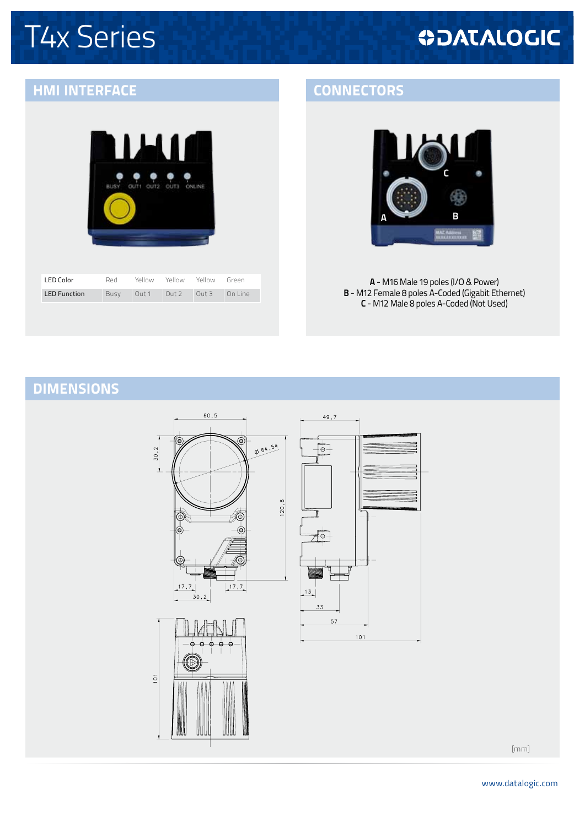# T4x Series

# **ODATALOGIC**

## **hmi interface CONNECTORS**

| <b>BUSY</b> | OUT1 OUT2 OUT3 ONLINE |  |
|-------------|-----------------------|--|
|             |                       |  |
|             |                       |  |
|             |                       |  |

| I ED Color          | Red  | Yellow | Yellow | Yellow | Green   |
|---------------------|------|--------|--------|--------|---------|
| <b>LED Function</b> | Busy | Out 1  | Out2   | Out 3  | On line |



**A** - M16 Male 19 poles (I/O & Power) **B** - M12 Female 8 poles A-Coded (Gigabit Ethernet) **C** - M12 Male 8 poles A-Coded (Not Used)

## **DIMENSIONs**



[mm]